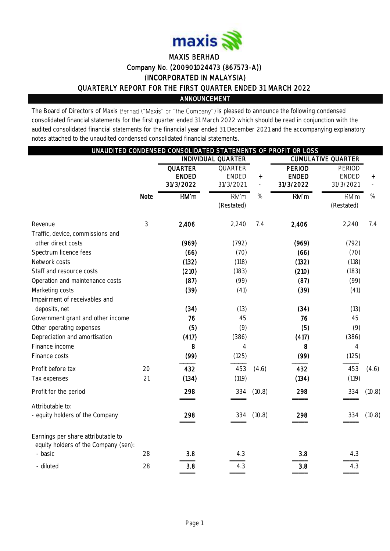

# MAXIS BERHAD Company No. (200901024473 (867573-A)) (INCORPORATED IN MALAYSIA) QUARTERLY REPORT FOR THE FIRST QUARTER ENDED 31 MARCH 2022 ANNOUNCEMENT

The Board of Directors of Maxis Berhad ("Maxis" or "the Company") is pleased to announce the following condensed consolidated financial statements for the first quarter ended 31 March 2022 which should be read in conjunction with the audited consolidated financial statements for the financial year ended 31 December 2021 and the accompanying explanatory notes attached to the unaudited condensed consolidated financial statements.

|                                                                                                                                                                                                                                                                                                                                                                           |          | UNAUDITED CONDENSED CONSOLIDATED STATEMENTS OF PROFIT OR LOSS                              |                                                                                             |                                    |                                                                                            |                                                                                                          |        |
|---------------------------------------------------------------------------------------------------------------------------------------------------------------------------------------------------------------------------------------------------------------------------------------------------------------------------------------------------------------------------|----------|--------------------------------------------------------------------------------------------|---------------------------------------------------------------------------------------------|------------------------------------|--------------------------------------------------------------------------------------------|----------------------------------------------------------------------------------------------------------|--------|
|                                                                                                                                                                                                                                                                                                                                                                           |          |                                                                                            | <b>INDIVIDUAL QUARTER</b>                                                                   |                                    |                                                                                            | <b>CUMULATIVE QUARTER</b>                                                                                |        |
|                                                                                                                                                                                                                                                                                                                                                                           |          | <b>QUARTER</b><br><b>ENDED</b><br>31/3/2022                                                | QUARTER<br><b>ENDED</b><br>31/3/2021                                                        | $^{+}$<br>$\overline{\phantom{a}}$ | <b>PERIOD</b><br><b>ENDED</b><br>31/3/2022                                                 | PERIOD<br><b>ENDED</b><br>31/3/2021                                                                      | $+$    |
|                                                                                                                                                                                                                                                                                                                                                                           | Note     | RM'm                                                                                       | RM'm<br>(Restated)                                                                          | $\%$                               | RM'm                                                                                       | RM'm<br>(Restated)                                                                                       | %      |
| Revenue                                                                                                                                                                                                                                                                                                                                                                   | 3        | 2,406                                                                                      | 2,240                                                                                       | 7.4                                | 2,406                                                                                      | 2,240                                                                                                    | 7.4    |
| Traffic, device, commissions and<br>other direct costs<br>Spectrum licence fees<br>Network costs<br>Staff and resource costs<br>Operation and maintenance costs<br>Marketing costs<br>Impairment of receivables and<br>deposits, net<br>Government grant and other income<br>Other operating expenses<br>Depreciation and amortisation<br>Finance income<br>Finance costs |          | (969)<br>(66)<br>(132)<br>(210)<br>(87)<br>(39)<br>(34)<br>76<br>(5)<br>(417)<br>8<br>(99) | (792)<br>(70)<br>(118)<br>(183)<br>(99)<br>(41)<br>(13)<br>45<br>(9)<br>(386)<br>4<br>(125) |                                    | (969)<br>(66)<br>(132)<br>(210)<br>(87)<br>(39)<br>(34)<br>76<br>(5)<br>(417)<br>8<br>(99) | (792)<br>(70)<br>(118)<br>(183)<br>(99)<br>(41)<br>(13)<br>45<br>(9)<br>(386)<br>$\overline{4}$<br>(125) |        |
| Profit before tax<br>Tax expenses                                                                                                                                                                                                                                                                                                                                         | 20<br>21 | 432<br>(134)                                                                               | 453<br>(119)                                                                                | (4.6)                              | 432<br>(134)                                                                               | 453<br>(119)                                                                                             | (4.6)  |
| Profit for the period                                                                                                                                                                                                                                                                                                                                                     |          | 298                                                                                        | 334                                                                                         | (10.8)                             | 298                                                                                        | 334                                                                                                      | (10.8) |
| Attributable to:<br>- equity holders of the Company                                                                                                                                                                                                                                                                                                                       |          | 298                                                                                        | 334                                                                                         | (10.8)                             | 298                                                                                        | 334                                                                                                      | (10.8) |
| Earnings per share attributable to<br>equity holders of the Company (sen):<br>- basic                                                                                                                                                                                                                                                                                     | 28       | 3.8                                                                                        | 4.3                                                                                         |                                    | 3.8                                                                                        | 4.3                                                                                                      |        |
| - diluted                                                                                                                                                                                                                                                                                                                                                                 | 28       | 3.8                                                                                        | 4.3                                                                                         |                                    | 3.8                                                                                        | 4.3                                                                                                      |        |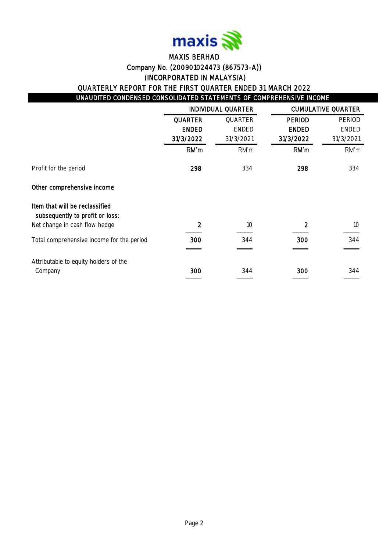

# MAXIS BERHAD Company No. (200901024473 (867573-A)) (INCORPORATED IN MALAYSIA) QUARTERLY REPORT FOR THE FIRST QUARTER ENDED 31 MARCH 2022

# UNAUDITED CONDENSED CONSOLIDATED STATEMENTS OF COMPREHENSIVE INCOME

|                                                                   |                | <b>INDIVIDUAL QUARTER</b> |               | <b>CUMULATIVE QUARTER</b> |
|-------------------------------------------------------------------|----------------|---------------------------|---------------|---------------------------|
|                                                                   | <b>QUARTER</b> | QUARTER                   | <b>PERIOD</b> | PERIOD                    |
|                                                                   | <b>ENDED</b>   | <b>ENDED</b>              | <b>ENDED</b>  | <b>ENDED</b>              |
|                                                                   | 31/3/2022      | 31/3/2021                 | 31/3/2022     | 31/3/2021                 |
|                                                                   | RM'm           | RM'm                      | RM'm          | RM'm                      |
| Profit for the period                                             | 298            | 334                       | 298           | 334                       |
| Other comprehensive income                                        |                |                           |               |                           |
| Item that will be reclassified<br>subsequently to profit or loss: |                |                           |               |                           |
| Net change in cash flow hedge                                     | 2              | 10                        | 2             | 10                        |
| Total comprehensive income for the period                         | 300            | 344                       | 300           | 344                       |
|                                                                   |                |                           |               |                           |
| Attributable to equity holders of the                             |                |                           |               |                           |
| Company                                                           | 300            | 344                       | 300           | 344                       |
|                                                                   |                |                           |               |                           |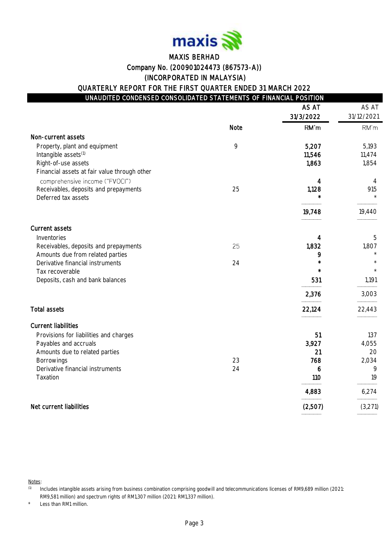

# MAXIS BERHAD Company No. (200901024473 (867573-A)) (INCORPORATED IN MALAYSIA)

QUARTERLY REPORT FOR THE FIRST QUARTER ENDED 31 MARCH 2022

|                                                                                |      | AS AT     | AS AT      |
|--------------------------------------------------------------------------------|------|-----------|------------|
|                                                                                |      | 31/3/2022 | 31/12/2021 |
|                                                                                | Note | RM'm      | RM'm       |
| Non-current assets                                                             |      |           |            |
| Property, plant and equipment                                                  | 9    | 5,207     | 5,193      |
| Intangible assets <sup>(1)</sup>                                               |      | 11,546    | 11,474     |
| Right-of-use assets                                                            |      | 1,863     | 1,854      |
| Financial assets at fair value through other<br>comprehensive income ("FVOCI") |      | 4         | 4          |
| Receivables, deposits and prepayments                                          | 25   | 1,128     | 915        |
| Deferred tax assets                                                            |      |           |            |
|                                                                                |      | 19,748    | 19,440     |
| Current assets                                                                 |      |           |            |
| Inventories                                                                    |      | 4         | 5          |
| Receivables, deposits and prepayments                                          | 25   | 1,832     | 1,807      |
| Amounts due from related parties                                               |      | 9         |            |
| Derivative financial instruments                                               | 24   |           |            |
| Tax recoverable                                                                |      |           |            |
| Deposits, cash and bank balances                                               |      | 531       | 1,191      |
|                                                                                |      | 2,376     | 3,003      |
| <b>Total assets</b>                                                            |      | 22,124    | 22,443     |
| <b>Current liabilities</b>                                                     |      |           |            |
| Provisions for liabilities and charges                                         |      | 51        | 137        |
| Payables and accruals                                                          |      | 3,927     | 4,055      |
| Amounts due to related parties                                                 |      | 21        | 20         |
| Borrowings                                                                     | 23   | 768       | 2,034      |
| Derivative financial instruments<br>Taxation                                   | 24   | 6<br>110  | 9<br>19    |
|                                                                                |      |           |            |
|                                                                                |      | 4,883     | 6,274      |
| Net current liabilities                                                        |      | (2,507)   | (3,271)    |

Notes:

Less than RM1 million.

<sup>(1)</sup> Includes intangible assets arising from business combination comprising goodwill and telecommunications licenses of RM9,689 million (2021: RM9,581 million) and spectrum rights of RM1,307 million (2021: RM1,337 million).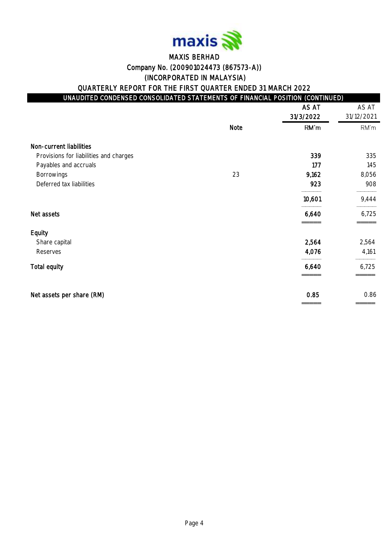

# MAXIS BERHAD Company No. (200901024473 (867573-A)) (INCORPORATED IN MALAYSIA)

QUARTERLY REPORT FOR THE FIRST QUARTER ENDED 31 MARCH 2022

| UNAUDITED CONDENSED CONSOLIDATED STATEMENTS OF FINANCIAL POSITION (CONTINUED) <sup> </sup> |                                   |        |
|--------------------------------------------------------------------------------------------|-----------------------------------|--------|
|                                                                                            | $\lambda$ $\sim$ $\lambda$ $\tau$ | $\sim$ |

|                                        |      | AS AT<br>31/3/2022 | AS AT<br>31/12/2021 |
|----------------------------------------|------|--------------------|---------------------|
|                                        | Note | RM'm               | RM'm                |
| Non-current liabilities                |      |                    |                     |
| Provisions for liabilities and charges |      | 339                | 335                 |
| Payables and accruals                  |      | 177                | 145                 |
| <b>Borrowings</b>                      | 23   | 9,162              | 8,056               |
| Deferred tax liabilities               |      | 923                | 908                 |
|                                        |      | 10,601             | 9,444               |
| Net assets                             |      | 6,640              | 6,725               |
| Equity                                 |      |                    |                     |
| Share capital                          |      | 2,564              | 2,564               |
| Reserves                               |      | 4,076              | 4,161               |
| <b>Total equity</b>                    |      | 6,640              | 6,725               |
| Net assets per share (RM)              |      | 0.85               | 0.86                |
|                                        |      |                    |                     |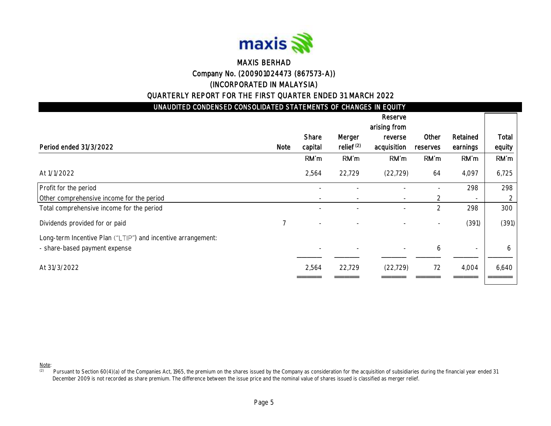

# MAXIS BERHAD Company No. (200901024473 (867573-A)) (INCORPORATED IN MALAYSIA)

### QUARTERLY REPORT FOR THE FIRST QUARTER ENDED 31 MARCH 2022

| UNAUDITED CONDENSED CONSOLIDATED STATEMENTS OF CHANGES IN EQUITY |                |         |                       |              |                |          |        |
|------------------------------------------------------------------|----------------|---------|-----------------------|--------------|----------------|----------|--------|
|                                                                  |                |         |                       | Reserve      |                |          |        |
|                                                                  |                |         |                       | arising from |                |          |        |
|                                                                  |                | Share   | Merger                | reverse      | Other          | Retained | Total  |
| Period ended 31/3/2022                                           | Note           | capital | relief <sup>(2)</sup> | acquisition  | reserves       | earnings | equity |
|                                                                  |                | RM'm    | RM'm                  | RM'm         | RM'm           | RM'm     | RM'm   |
| At 1/1/2022                                                      |                | 2,564   | 22,729                | (22, 729)    | 64             | 4,097    | 6,725  |
| Profit for the period                                            |                |         |                       |              |                | 298      | 298    |
| Other comprehensive income for the period                        |                |         |                       |              | 2              |          | 2      |
| Total comprehensive income for the period                        |                |         |                       |              | $\overline{2}$ | 298      | 300    |
| Dividends provided for or paid                                   | $\overline{7}$ |         |                       |              |                | (391)    | (391)  |
| Long-term Incentive Plan ("LTIP") and incentive arrangement:     |                |         |                       |              |                |          |        |
| - share-based payment expense                                    |                |         |                       | $\sim$       | 6              | $\sim$   | 6      |
| At 31/3/2022                                                     |                | 2,564   | 22,729                | (22, 729)    | 72             | 4,004    | 6,640  |
|                                                                  |                |         |                       |              |                |          |        |

Note:

(2) Pursuant to Section 60(4)(a) of the Companies Act, 1965, the premium on the shares issued by the Company as consideration for the acquisition of subsidiaries during the financial year ended 31 December 2009 is not recorded as share premium. The difference between the issue price and the nominal value of shares issued is classified as merger relief.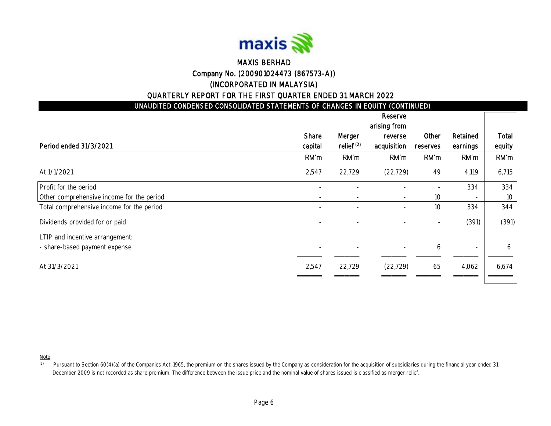

### MAXIS BERHAD Company No. (200901024473 (867573-A)) (INCORPORATED IN MALAYSIA)

### QUARTERLY REPORT FOR THE FIRST QUARTER ENDED 31 MARCH 2022

UNAUDITED CONDENSED CONSOLIDATED STATEMENTS OF CHANGES IN EQUITY (CONTINUED)

|                                           |         |                          | Reserve                  |                 |                          |        |
|-------------------------------------------|---------|--------------------------|--------------------------|-----------------|--------------------------|--------|
|                                           |         |                          | arising from             |                 |                          |        |
|                                           | Share   | Merger                   | reverse                  | Other           | Retained                 | Total  |
| Period ended 31/3/2021                    | capital | relief <sup>(2)</sup>    | acquisition              | reserves        | earnings                 | equity |
|                                           | RM'm    | RM'm                     | RM'm                     | RM'm            | RM'm                     | RM'm   |
| At 1/1/2021                               | 2,547   | 22,729                   | (22, 729)                | 49              | 4,119                    | 6,715  |
| Profit for the period                     |         |                          |                          |                 | 334                      | 334    |
| Other comprehensive income for the period | $\sim$  | $\overline{\phantom{a}}$ | $\sim$                   | 10 <sup>°</sup> | $\overline{\phantom{a}}$ | 10     |
| Total comprehensive income for the period | -       |                          | $\overline{\phantom{a}}$ | 10              | 334                      | 344    |
| Dividends provided for or paid            |         |                          |                          |                 | (391)                    | (391)  |
| LTIP and incentive arrangement:           |         |                          |                          |                 |                          |        |
| - share-based payment expense             |         |                          |                          | 6               | $\overline{\phantom{a}}$ | 6      |
| At 31/3/2021                              | 2,547   | 22,729                   | (22, 729)                | 65              | 4,062                    | 6,674  |
|                                           |         |                          |                          |                 |                          |        |

Note:

<sup>(2)</sup> Pursuant to Section 60(4)(a) of the Companies Act, 1965, the premium on the shares issued by the Company as consideration for the acquisition of subsidiaries during the financial year ended 31 December 2009 is not recorded as share premium. The difference between the issue price and the nominal value of shares issued is classified as merger relief.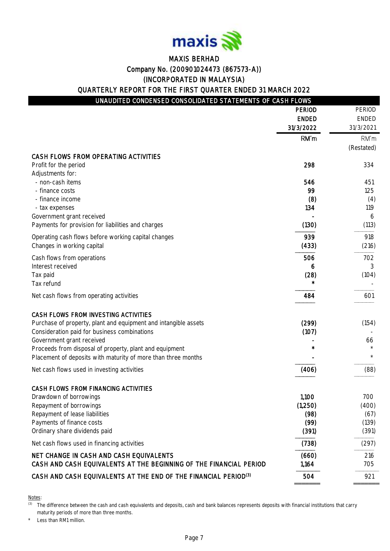

### MAXIS BERHAD Company No. (200901024473 (867573-A)) (INCORPORATED IN MALAYSIA) QUARTERLY REPORT FOR THE FIRST QUARTER ENDED 31 MARCH 2022

# UNAUDITED CONDENSED CONSOLIDATED STATEMENTS OF CASH FLOWS

|                                                                             | <b>PERIOD</b> | PERIOD     |
|-----------------------------------------------------------------------------|---------------|------------|
|                                                                             | <b>ENDED</b>  | ENDED      |
|                                                                             | 31/3/2022     | 31/3/2021  |
|                                                                             | RM'm          | RM'm       |
|                                                                             |               | (Restated) |
| CASH FLOWS FROM OPERATING ACTIVITIES                                        |               |            |
| Profit for the period                                                       | 298           | 334        |
| Adjustments for:<br>- non-cash items                                        | 546           |            |
| - finance costs                                                             | 99            | 451<br>125 |
| - finance income                                                            | (8)           | (4)        |
| - tax expenses                                                              | 134           | 119        |
| Government grant received                                                   |               | 6          |
| Payments for provision for liabilities and charges                          | (130)         | (113)      |
| Operating cash flows before working capital changes                         | 939           | 918        |
| Changes in working capital                                                  | (433)         | (216)      |
| Cash flows from operations                                                  | 506           | 702        |
| Interest received                                                           | 6             | 3          |
| Tax paid                                                                    | (28)          | (104)      |
| Tax refund                                                                  |               |            |
| Net cash flows from operating activities                                    | 484           | 601        |
| CASH FLOWS FROM INVESTING ACTIVITIES                                        |               |            |
| Purchase of property, plant and equipment and intangible assets             | (299)         | (154)      |
| Consideration paid for business combinations                                | (107)         |            |
| Government grant received                                                   |               | 66         |
| Proceeds from disposal of property, plant and equipment                     |               |            |
| Placement of deposits with maturity of more than three months               |               | $^{\star}$ |
| Net cash flows used in investing activities                                 | (406)         | (88)       |
| CASH FLOWS FROM FINANCING ACTIVITIES                                        |               |            |
| Drawdown of borrowings                                                      | 1,100         | 700        |
| Repayment of borrowings                                                     | (1,250)       | (400)      |
| Repayment of lease liabilities                                              | (98)          | (67)       |
| Payments of finance costs                                                   | (99)          | (139)      |
| Ordinary share dividends paid                                               | (391)         | (391)      |
| Net cash flows used in financing activities                                 | (738)         | (297)      |
| NET CHANGE IN CASH AND CASH EQUIVALENTS                                     | (660)         | 216        |
| CASH AND CASH EQUIVALENTS AT THE BEGINNING OF THE FINANCIAL PERIOD          | 1,164         | 705        |
| CASH AND CASH EQUIVALENTS AT THE END OF THE FINANCIAL PERIOD <sup>(3)</sup> | 504           | 921        |
|                                                                             |               |            |

Notes:

<sup>(3)</sup> The difference between the cash and cash equivalents and deposits, cash and bank balances represents deposits with financial institutions that carry maturity periods of more than three months.

Less than RM1 million.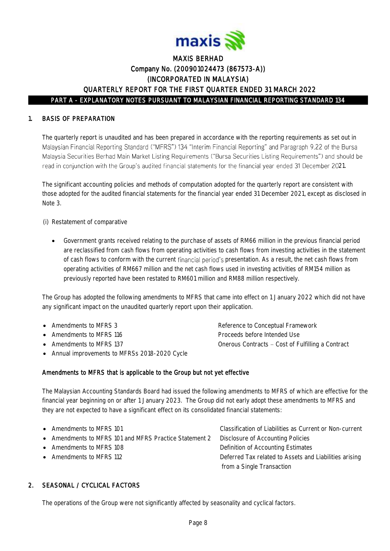

### 1. BASIS OF PREPARATION

The quarterly report is unaudited and has been prepared in accordance with the reporting requirements as set out in Malaysian Financial Reporting Standard ("MFRS") 134 "Interim Financial Reporting" and Paragraph 9.22 of the Bursa Malaysia Securities Berhad Main Market Listing Requirements ("Bursa Securities Listing Requirements") and should be read in conjunction with the Group's audited financial statements for the financial year ended 31 December 2021.

The significant accounting policies and methods of computation adopted for the quarterly report are consistent with those adopted for the audited financial statements for the financial year ended 31 December 2021, except as disclosed in Note 3.

(i) Restatement of comparative

• Government grants received relating to the purchase of assets of RM66 million in the previous financial period are reclassified from cash flows from operating activities to cash flows from investing activities in the statement of cash flows to conform with the current financial period's presentation. As a result, the net cash flows from operating activities of RM667 million and the net cash flows used in investing activities of RM154 million as previously reported have been restated to RM601 million and RM88 million respectively.

The Group has adopted the following amendments to MFRS that came into effect on 1 January 2022 which did not have any significant impact on the unaudited quarterly report upon their application.

- 
- 
- 
- Annual improvements to MFRSs 2018-2020 Cycle

• Amendments to MFRS 3 Reference to Conceptual Framework • Amendments to MFRS 116 Proceeds before Intended Use • Amendments to MFRS 137 Contracts - Cost of Fulfilling a Contracts - Cost of Fulfilling a Contract

### Amendments to MFRS that is applicable to the Group but not yet effective

The Malaysian Accounting Standards Board had issued the following amendments to MFRS of which are effective for the financial year beginning on or after 1 January 2023. The Group did not early adopt these amendments to MFRS and they are not expected to have a significant effect on its consolidated financial statements:

| • Amendments to MFRS 101                               | Classification of Liabilities as Current or Non-current |
|--------------------------------------------------------|---------------------------------------------------------|
| • Amendments to MFRS 101 and MFRS Practice Statement 2 | Disclosure of Accounting Policies                       |
| • Amendments to MFRS 108                               | Definition of Accounting Estimates                      |
| • Amendments to MFRS 112                               | Deferred Tax related to Assets and Liabilities arising  |
|                                                        | from a Single Transaction                               |
|                                                        |                                                         |

### 2. SEASONAL / CYCLICAL FACTORS

The operations of the Group were not significantly affected by seasonality and cyclical factors.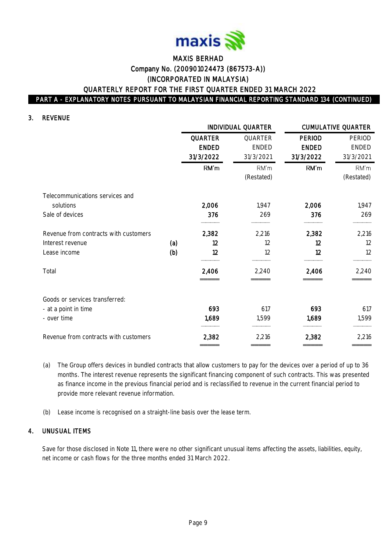

#### 3. REVENUE

|                                       |     |                | INDIVIDUAL QUARTER |               | <b>CUMULATIVE QUARTER</b> |
|---------------------------------------|-----|----------------|--------------------|---------------|---------------------------|
|                                       |     | <b>QUARTER</b> | QUARTER            | <b>PERIOD</b> | PERIOD                    |
|                                       |     | <b>ENDED</b>   | <b>ENDED</b>       | <b>ENDED</b>  | <b>ENDED</b>              |
|                                       |     | 31/3/2022      | 31/3/2021          | 31/3/2022     | 31/3/2021                 |
|                                       |     | RM'm           | RM'm               | RM'm          | RM'm                      |
|                                       |     |                | (Restated)         |               | (Restated)                |
| Telecommunications services and       |     |                |                    |               |                           |
| solutions                             |     | 2,006          | 1,947              | 2,006         | 1,947                     |
| Sale of devices                       |     | 376            | 269                | 376           | 269                       |
| Revenue from contracts with customers |     | 2,382          | 2,216              | 2,382         | 2,216                     |
| Interest revenue                      | (a) | 12             | 12                 | 12            | 12                        |
| Lease income                          | (b) | 12             | 12                 | 12            | 12                        |
| Total                                 |     | 2,406          | 2,240              | 2,406         | 2,240                     |
| Goods or services transferred:        |     |                |                    |               |                           |
| - at a point in time                  |     | 693            | 617                | 693           | 617                       |
| - over time                           |     | 1,689          | 1,599              | 1,689         | 1,599                     |
| Revenue from contracts with customers |     | 2,382          | 2,216              | 2,382         | 2,216                     |
|                                       |     |                |                    |               |                           |

- (a) The Group offers devices in bundled contracts that allow customers to pay for the devices over a period of up to 36 months. The interest revenue represents the significant financing component of such contracts. This was presented as finance income in the previous financial period and is reclassified to revenue in the current financial period to provide more relevant revenue information.
- (b) Lease income is recognised on a straight-line basis over the lease term.

#### 4. UNUSUAL ITEMS

Save for those disclosed in Note 11, there were no other significant unusual items affecting the assets, liabilities, equity, net income or cash flows for the three months ended 31 March 2022.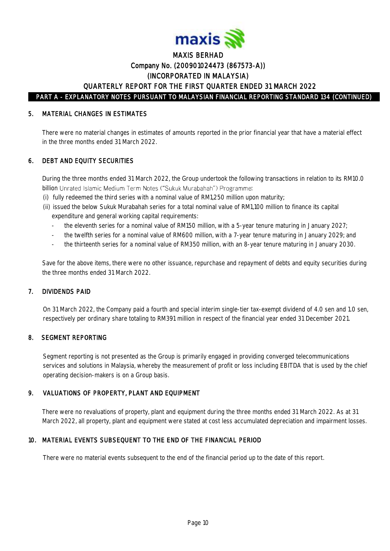

#### 5. MATERIAL CHANGES IN ESTIMATES

There were no material changes in estimates of amounts reported in the prior financial year that have a material effect in the three months ended 31 March 2022.

### 6. DEBT AND EQUITY SECURITIES

 During the three months ended 31 March 2022, the Group undertook the following transactions in relation to its RM10.0 billion Unrated Islamic Medium Term Notes ("Sukuk Murabahah") Programme:

- (i) fully redeemed the third series with a nominal value of RM1,250 million upon maturity;
- (ii) issued the below Sukuk Murabahah series for a total nominal value of RM1,100 million to finance its capital expenditure and general working capital requirements:
	- the eleventh series for a nominal value of RM150 million, with a 5-year tenure maturing in January 2027;
	- the twelfth series for a nominal value of RM600 million, with a 7-year tenure maturing in January 2029; and
	- the thirteenth series for a nominal value of RM350 million, with an 8-year tenure maturing in January 2030.

Save for the above items, there were no other issuance, repurchase and repayment of debts and equity securities during the three months ended 31 March 2022.

#### 7. DIVIDENDS PAID

On 31 March 2022, the Company paid a fourth and special interim single-tier tax-exempt dividend of 4.0 sen and 1.0 sen, respectively per ordinary share totaling to RM391 million in respect of the financial year ended 31 December 2021.

### 8. SEGMENT REPORTING

Segment reporting is not presented as the Group is primarily engaged in providing converged telecommunications services and solutions in Malaysia, whereby the measurement of profit or loss including EBITDA that is used by the chief operating decision-makers is on a Group basis.

#### 9. VALUATIONS OF PROPERTY, PLANT AND EQUIPMENT

There were no revaluations of property, plant and equipment during the three months ended 31 March 2022. As at 31 March 2022, all property, plant and equipment were stated at cost less accumulated depreciation and impairment losses.

#### 10. MATERIAL EVENTS SUBSEQUENT TO THE END OF THE FINANCIAL PERIOD

There were no material events subsequent to the end of the financial period up to the date of this report.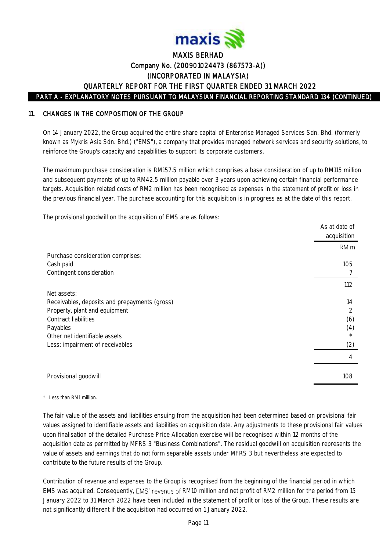

#### 11. CHANGES IN THE COMPOSITION OF THE GROUP

On 14 January 2022, the Group acquired the entire share capital of Enterprise Managed Services Sdn. Bhd. (formerly known as Mykris Asia Sdn. Bhd.) ("EMS"), a company that provides managed network services and security solutions, to reinforce the Group's capacity and capabilities to support its corporate customers.

The maximum purchase consideration is RM157.5 million which comprises a base consideration of up to RM115 million and subsequent payments of up to RM42.5 million payable over 3 years upon achieving certain financial performance targets. Acquisition related costs of RM2 million has been recognised as expenses in the statement of profit or loss in the previous financial year. The purchase accounting for this acquisition is in progress as at the date of this report.

The provisional goodwill on the acquisition of EMS are as follows:

|                                                                                                                                                                                        | As at date of<br>acquisition |
|----------------------------------------------------------------------------------------------------------------------------------------------------------------------------------------|------------------------------|
| Purchase consideration comprises:<br>Cash paid<br>Contingent consideration                                                                                                             | RM'm<br>105                  |
| Net assets:                                                                                                                                                                            | 112                          |
| Receivables, deposits and prepayments (gross)<br>Property, plant and equipment<br>Contract liabilities<br>Payables<br>Other net identifiable assets<br>Less: impairment of receivables | 14<br>2<br>(6)<br>(4)<br>(2) |
|                                                                                                                                                                                        | 4                            |
| Provisional goodwill                                                                                                                                                                   | 108                          |

#### \* Less than RM1 million.

The fair value of the assets and liabilities ensuing from the acquisition had been determined based on provisional fair values assigned to identifiable assets and liabilities on acquisition date. Any adjustments to these provisional fair values upon finalisation of the detailed Purchase Price Allocation exercise will be recognised within 12 months of the acquisition date as permitted by MFRS 3 "Business Combinations". The residual goodwill on acquisition represents the value of assets and earnings that do not form separable assets under MFRS 3 but nevertheless are expected to contribute to the future results of the Group.

Contribution of revenue and expenses to the Group is recognised from the beginning of the financial period in which EMS was acquired. Consequently, EMS' revenue of RM10 million and net profit of RM2 million for the period from 15 January 2022 to 31 March 2022 have been included in the statement of profit or loss of the Group. These results are not significantly different if the acquisition had occurred on 1 January 2022.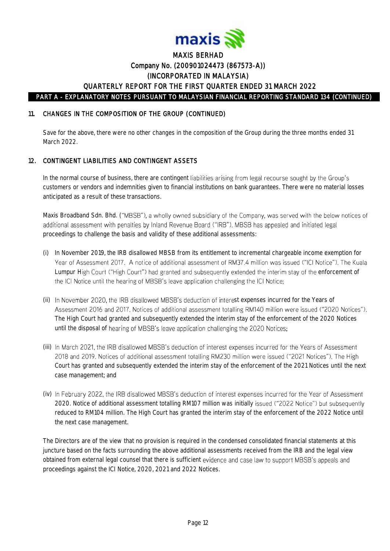

### 11. CHANGES IN THE COMPOSITION OF THE GROUP (CONTINUED)

Save for the above, there were no other changes in the composition of the Group during the three months ended 31 March 2022

### 12. CONTINGENT LIABILITIES AND CONTINGENT ASSETS

In the normal course of business, there are contingent liabilities arising from legal recourse sought by the Group's customers or vendors and indemnities given to financial institutions on bank guarantees. There were no material losses anticipated as a result of these transactions.

Maxis Broadband Sdn. Bhd. ("MBSB"), a wholly owned subsidiary of the Company, was served with the below notices of additional assessment with penalties by Inland Revenue Board ("IRB"). MBSB has appealed and initiated legal proceedings to challenge the basis and validity of these additional assessments:

- (i) In November 2019, the IRB disallowed MBSB from its entitlement to incremental chargeable income exemption for Year of Assessment 2017. A notice of additional assessment of RM37.4 million was issued ("ICI Notice"). The Kuala Lumpur High Court ("High Court") had granted and subsequently extended the interim stay of the enforcement of the ICI Notice until the hearing of MBSB's leave application challenging the ICI Notice;
- (ii) In November 2020, the IRB disallowed MBSB's deduction of interest expenses incurred for the Years of Assessment 2016 and 2017. Notices of additional assessment totalling RM140 million were issued ("2020 Notices"). The High Court had granted and subsequently extended the interim stay of the enforcement of the 2020 Notices until the disposal of hearing of MBSB's leave application challenging the 2020 Notices;
- (iii) In March 2021, the IRB disallowed MBSB's deduction of interest expenses incurred for the Years of Assessment 2018 and 2019. Notices of additional assessment totalling RM230 million were issued ("2021 Notices"). The High Court has granted and subsequently extended the interim stay of the enforcement of the 2021 Notices until the next case management; and
- (iv) In February 2022, the IRB disallowed MBSB's deduction of interest expenses incurred for the Year of Assessment 2020. Notice of additional assessment totalling RM107 million was initially issued ("2022 Notice") but subsequently reduced to RM104 million. The High Court has granted the interim stay of the enforcement of the 2022 Notice until the next case management.

The Directors are of the view that no provision is required in the condensed consolidated financial statements at this juncture based on the facts surrounding the above additional assessments received from the IRB and the legal view obtained from external legal counsel that there is sufficient evidence and case law to support MBSB's appeals and proceedings against the ICI Notice, 2020, 2021 and 2022 Notices.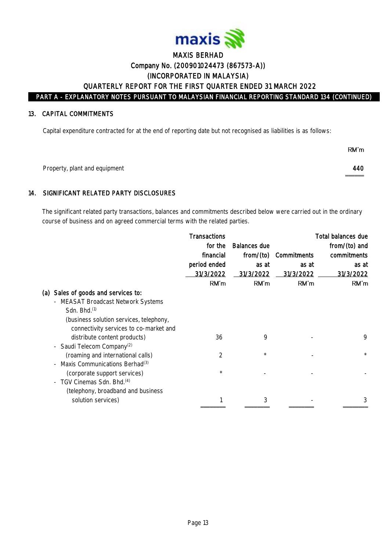

#### 13. CAPITAL COMMITMENTS

Capital expenditure contracted for at the end of reporting date but not recognised as liabilities is as follows:

|                               | RM'm         |
|-------------------------------|--------------|
| Property, plant and equipment | 440<br>_____ |

### 14. SIGNIFICANT RELATED PARTY DISCLOSURES

The significant related party transactions, balances and commitments described below were carried out in the ordinary course of business and on agreed commercial terms with the related parties.

|                                            | Transactions   |              |             | Total balances due |
|--------------------------------------------|----------------|--------------|-------------|--------------------|
|                                            | for the        | Balances due |             | from/(to) and      |
|                                            | financial      | from/(to)    | Commitments | commitments        |
|                                            | period ended   | as at        | as at       | as at              |
|                                            | 31/3/2022      | 31/3/2022    | 31/3/2022   | 31/3/2022          |
|                                            | RM'm           | RM'm         | RM'm        | RM'm               |
| (a) Sales of goods and services to:        |                |              |             |                    |
| - MEASAT Broadcast Network Systems         |                |              |             |                    |
| Sdn. Bhd. <sup>(1)</sup>                   |                |              |             |                    |
| (business solution services, telephony,    |                |              |             |                    |
| connectivity services to co-market and     |                |              |             |                    |
| distribute content products)               | 36             | 9            |             | 9                  |
| - Saudi Telecom Company <sup>(2)</sup>     |                |              |             |                    |
| (roaming and international calls)          | $\overline{2}$ | $^{\star}$   |             | $\star$            |
| Maxis Communications Berhad <sup>(3)</sup> |                |              |             |                    |
| (corporate support services)               | $^{\star}$     |              |             |                    |
| - TGV Cinemas Sdn. Bhd. <sup>(4)</sup>     |                |              |             |                    |
| (telephony, broadband and business         |                |              |             |                    |
| solution services)                         |                | 3            |             |                    |
|                                            |                |              |             |                    |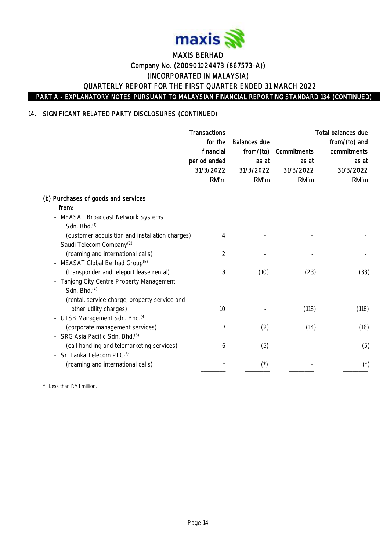

### 14. SIGNIFICANT RELATED PARTY DISCLOSURES (CONTINUED)

|                                                                                                                            | Transactions<br>for the<br>financial<br>period ended<br>31/3/2022<br>RM'm | <b>Balances due</b><br>from/(to)<br>as at<br>31/3/2022<br>RM'm | Commitments<br>as at<br>31/3/2022<br>RM'm | Total balances due<br>from/(to) and<br>commitments<br>as at<br>31/3/2022<br>RM'm |
|----------------------------------------------------------------------------------------------------------------------------|---------------------------------------------------------------------------|----------------------------------------------------------------|-------------------------------------------|----------------------------------------------------------------------------------|
| (b) Purchases of goods and services                                                                                        |                                                                           |                                                                |                                           |                                                                                  |
| from:<br>- MEASAT Broadcast Network Systems<br>Sdn. Bhd. <sup>(1)</sup>                                                    |                                                                           |                                                                |                                           |                                                                                  |
| (customer acquisition and installation charges)<br>- Saudi Telecom Company <sup>(2)</sup>                                  | 4                                                                         |                                                                |                                           |                                                                                  |
| (roaming and international calls)<br>- MEASAT Global Berhad Group <sup>(5)</sup>                                           | 2                                                                         |                                                                |                                           |                                                                                  |
| (transponder and teleport lease rental)<br>Tanjong City Centre Property Management<br>$\equiv$<br>Sdn. Bhd. <sup>(4)</sup> | 8                                                                         | (10)                                                           | (23)                                      | (33)                                                                             |
| (rental, service charge, property service and<br>other utility charges)                                                    | 10                                                                        |                                                                | (118)                                     | (118)                                                                            |
| - UTSB Management Sdn. Bhd. <sup>(4)</sup>                                                                                 |                                                                           |                                                                |                                           |                                                                                  |
| (corporate management services)<br>- SRG Asia Pacific Sdn. Bhd. <sup>(6)</sup>                                             | 7                                                                         | (2)                                                            | (14)                                      | (16)                                                                             |
| (call handling and telemarketing services)<br>- Sri Lanka Telecom PLC(7)                                                   | 6                                                                         | (5)                                                            |                                           | (5)                                                                              |
| (roaming and international calls)                                                                                          | $\star$                                                                   | $(\dot{\phantom{a}})$                                          |                                           | $(\dot{\phantom{a}})$                                                            |

\* Less than RM1 million.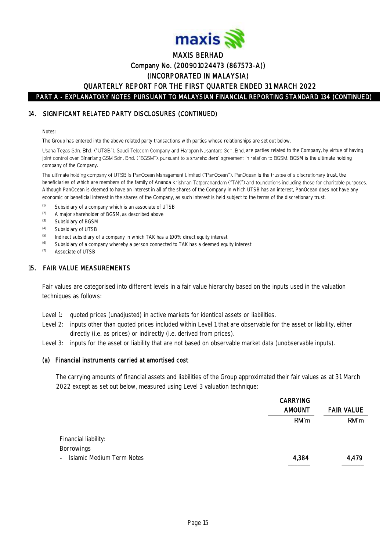

#### 14. SIGNIFICANT RELATED PARTY DISCLOSURES (CONTINUED)

#### Notes:

The Group has entered into the above related party transactions with parties whose relationships are set out below.

Usaha Tegas Sdn. Bhd. ("UTSB"), Saudi Telecom Company and Harapan Nusantara Sdn. Bhd. are parties related to the Company, by virtue of having joint control over Binariang GSM Sdn. Bhd. ("BGSM"), pursuant to a shareholders' agreement in relation to BGSM. BGSM is the ultimate holding company of the Company.

The ultimate holding company of UTSB is PanOcean Management Limited ("PanOcean"). PanOcean is the trustee of a discretionary trust, the beneficiaries of which are members of the family of Ananda Krishnan Tatparanandam ("TAK") and foundations including those for charitable purposes. Although PanOcean is deemed to have an interest in all of the shares of the Company in which UTSB has an interest, PanOcean does not have any economic or beneficial interest in the shares of the Company, as such interest is held subject to the terms of the discretionary trust.

- (1) Subsidiary of a company which is an associate of UTSB<br>(2)  $\Delta$  major characteristics of PCSM as described above
- A major shareholder of BGSM, as described above
- (3) Subsidiary of BGSM
- (4) Subsidiary of UTSB
- $(5)$  Indirect subsidiary of a company in which TAK has a 100% direct equity interest
- $(6)$  Subsidiary of a company whereby a person connected to TAK has a deemed equity interest
- (7) Associate of UTSB

#### 15. FAIR VALUE MEASUREMENTS

Fair values are categorised into different levels in a fair value hierarchy based on the inputs used in the valuation techniques as follows:

- Level 1: quoted prices (unadjusted) in active markets for identical assets or liabilities.
- Level 2: inputs other than quoted prices included within Level 1 that are observable for the asset or liability, either directly (i.e. as prices) or indirectly (i.e. derived from prices).
- Level 3: inputs for the asset or liability that are not based on observable market data (unobservable inputs).

#### (a) Financial instruments carried at amortised cost

The carrying amounts of financial assets and liabilities of the Group approximated their fair values as at 31 March 2022 except as set out below, measured using Level 3 valuation technique:

|                                           | <b>CARRYING</b> |                   |
|-------------------------------------------|-----------------|-------------------|
|                                           | <b>AMOUNT</b>   | <b>FAIR VALUE</b> |
|                                           | RM'm            | RM'm              |
|                                           |                 |                   |
| Financial liability:                      |                 |                   |
| <b>Borrowings</b>                         |                 |                   |
| Islamic Medium Term Notes<br>$\mathbf{r}$ | 4,384           | 4,479             |
|                                           |                 |                   |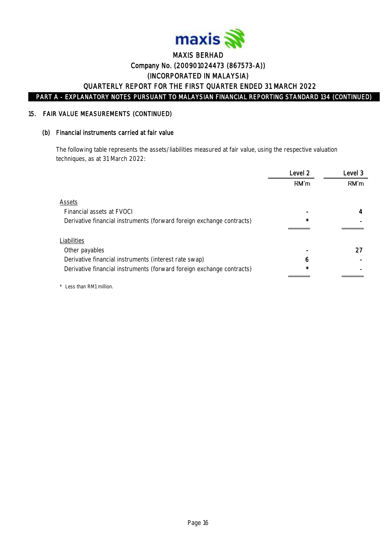

#### 15. FAIR VALUE MEASUREMENTS (CONTINUED)

#### (b) Financial instruments carried at fair value

The following table represents the assets/liabilities measured at fair value, using the respective valuation techniques, as at 31 March 2022:

|                                                                       | Level 2      | Level 3 |
|-----------------------------------------------------------------------|--------------|---------|
|                                                                       | RM'm         | RM'm    |
| Assets                                                                |              |         |
| Financial assets at EVOCI                                             |              |         |
| Derivative financial instruments (forward foreign exchange contracts) | $\star$      |         |
|                                                                       |              |         |
| Liabilities                                                           |              |         |
| Other payables                                                        |              | 27      |
| Derivative financial instruments (interest rate swap)                 | <sub>6</sub> |         |
| Derivative financial instruments (forward foreign exchange contracts) | $\star$      |         |
|                                                                       |              |         |

\* Less than RM1 million.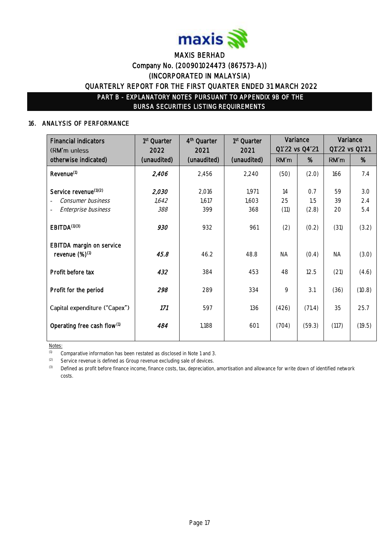

#### 16. ANALYSIS OF PERFORMANCE

| <b>Financial indicators</b><br>(RM'm unless      | 1 <sup>st</sup> Quarter<br>2022 | 4 <sup>th</sup> Quarter<br>2021 | 1 <sup>st</sup> Quarter<br>2021 |           | Variance<br>Q1'22 vs Q4'21 |           | Variance<br>Q1'22 vs Q1'21 |
|--------------------------------------------------|---------------------------------|---------------------------------|---------------------------------|-----------|----------------------------|-----------|----------------------------|
| otherwise indicated)                             | (unaudited)                     | (unaudited)                     | (unaudited)                     | RM'm      | %                          | RM'm      | %                          |
| Revenue <sup>(1)</sup>                           | 2,406                           | 2,456                           | 2,240                           | (50)      | (2.0)                      | 166       | 7.4                        |
| Service revenue <sup>(1)(2)</sup>                | 2,030                           | 2,016                           | 1,971                           | 14        | 0.7                        | 59        | 3.0                        |
| Consumer business                                | 1,642                           | 1,617                           | 1,603                           | 25        | 1.5                        | 39        | 2.4                        |
| Enterprise business                              | 388                             | 399                             | 368                             | (11)      | (2.8)                      | 20        | 5.4                        |
| EBITDA <sup>(1)(3)</sup>                         | 930                             | 932                             | 961                             | (2)       | (0.2)                      | (31)      | (3.2)                      |
| EBITDA margin on service<br>revenue $(\%)^{(1)}$ | 45.8                            | 46.2                            | 48.8                            | <b>NA</b> | (0.4)                      | <b>NA</b> | (3.0)                      |
| Profit before tax                                | 432                             | 384                             | 453                             | 48        | 12.5                       | (21)      | (4.6)                      |
| Profit for the period                            | 298                             | 289                             | 334                             | 9         | 3.1                        | (36)      | (10.8)                     |
| Capital expenditure ("Capex")                    | 171                             | 597                             | 136                             | (426)     | (71.4)                     | 35        | 25.7                       |
| Operating free cash flow <sup>(1)</sup>          | 484                             | 1,188                           | 601                             | (704)     | (59.3)                     | (117)     | (19.5)                     |
|                                                  |                                 |                                 |                                 |           |                            |           |                            |

Notes:

(1) Comparative information has been restated as disclosed in Note 1 and 3.

 $(2)$  Service revenue is defined as Group revenue excluding sale of devices.

(3) Defined as profit before finance income, finance costs, tax, depreciation, amortisation and allowance for write down of identified network costs.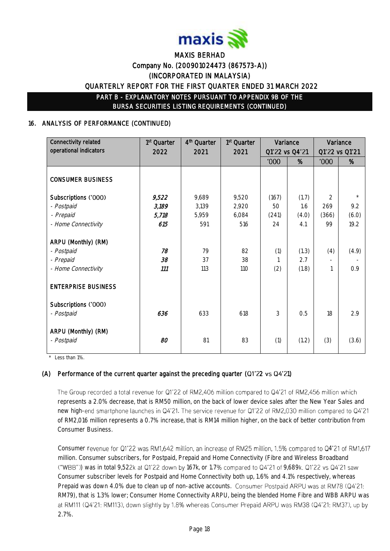

### 16. ANALYSIS OF PERFORMANCE (CONTINUED)

| Connectivity related<br>operational indicators                        | 1 <sup>st</sup> Quarter<br>2022 | 4 <sup>th</sup> Quarter<br>2021 | 1 <sup>st</sup> Quarter<br>2021 |             | Variance<br>Q1'22 vs Q4'21 |                | Variance<br>Q1'22 vs Q1'21 |
|-----------------------------------------------------------------------|---------------------------------|---------------------------------|---------------------------------|-------------|----------------------------|----------------|----------------------------|
|                                                                       |                                 |                                 |                                 | <b>'000</b> | %                          | <b>'000</b>    | %                          |
| <b>CONSUMER BUSINESS</b>                                              |                                 |                                 |                                 |             |                            |                |                            |
| Subscriptions ('000)                                                  | 9,522                           | 9,689                           | 9,520                           | (167)       | (1.7)                      | $\overline{2}$ | $\star$                    |
| - Postpaid                                                            | 3,189                           | 3,139                           | 2,920                           | 50          | 1.6                        | 269            | 9.2                        |
| - Prepaid                                                             | 5,718                           | 5,959                           | 6,084                           | (241)       | (4.0)                      | (366)          | (6.0)                      |
| - Home Connectivity                                                   | 615                             | 591                             | 516                             | 24          | 4.1                        | 99             | 19.2                       |
| ARPU (Monthly) (RM)<br>- Postpaid<br>- Prepaid<br>- Home Connectivity | 78<br>38<br>111                 | 79<br>37<br>113                 | 82<br>38<br>110                 | (1)<br>(2)  | (1.3)<br>2.7<br>(1.8)      | (4)            | (4.9)<br>0.9               |
| <b>ENTERPRISE BUSINESS</b>                                            |                                 |                                 |                                 |             |                            |                |                            |
| Subscriptions ('000)<br>- Postpaid                                    | 636                             | 633                             | 618                             | 3           | 0.5                        | 18             | 2.9                        |
| ARPU (Monthly) (RM)<br>- Postpaid                                     | 80                              | 81                              | 83                              | (1)         | (1.2)                      | (3)            | (3.6)                      |

\* Less than 1%.

### (A) Performance of the current quarter against the preceding quarter ( $Q1'22$  vs  $Q4'21$ )

The Group recorded a total revenue for Q1'22 of RM2,406 million compared to Q4'21 of RM2,456 million which represents a 2.0% decrease, that is RM50 million, on the back of lower device sales after the New Year Sales and new high-end smartphone launches in Q4'21. The service revenue for Q1'22 of RM2,030 million compared to Q4'21 of RM2,016 million represents a 0.7% increase, that is RM14 million higher, on the back of better contribution from Consumer Business.

Consumer revenue for Q1'22 was RM1,642 million, an increase of RM25 million, 1.5% compared to Q4'21 of RM1,617 million. Consumer subscribers, for Postpaid, Prepaid and Home Connectivity (Fibre and Wireless Broadband ("WBB")) was in total 9,522k at Q1'22 down by 167k, or 1.7% compared to Q4'21 of 9,689k. Q1'22 vs Q4'21 saw Consumer subscriber levels for Postpaid and Home Connectivity both up, 1.6% and 4.1% respectively, whereas Prepaid was down 4.0% due to clean up of non-active accounts. Consumer Postpaid ARPU was at RM78 (Q4'21: RM79), that is 1.3% lower; Consumer Home Connectivity ARPU, being the blended Home Fibre and WBB ARPU was at RM111 (Q4'21: RM113), down slightly by 1.8% whereas Consumer Prepaid ARPU was RM38 (Q4'21: RM37), up by 2.7%.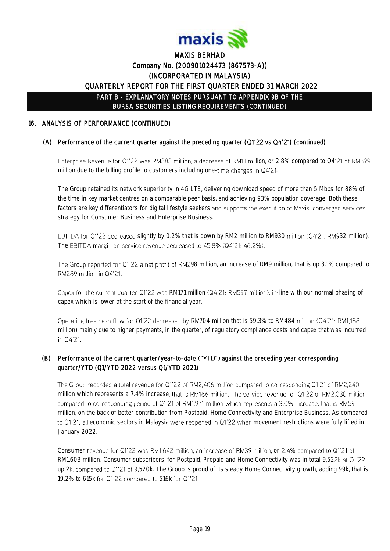

### 16. ANALYSIS OF PERFORMANCE (CONTINUED)

### (A) Performance of the current quarter against the preceding quarter ( $Q1'22$  vs  $Q4'21$ ) (continued)

Enterprise Revenue for Q1'22 was RM388 million, a decrease of RM11 million, or 2.8% compared to Q4'21 of RM399 million due to the billing profile to customers including one-time charges in  $Q4'21$ .

The Group retained its network superiority in 4G LTE, delivering download speed of more than 5 Mbps for 88% of the time in key market centres on a comparable peer basis, and achieving 93% population coverage. Both these factors are key differentiators for digital lifestyle seekers and supports the execution of Maxis' converged services strategy for Consumer Business and Enterprise Business.

EBITDA for Q1'22 decreased slightly by 0.2% that is down by RM2 million to RM930 million (Q4'21: RM932 million). The EBITDA margin on service revenue decreased to 45.8% (Q4'21: 46.2%).

The Group reported for Q1'22 a net profit of RM298 million, an increase of RM9 million, that is up 3.1% compared to RM289 million in Q4'21.

Capex for the current quarter Q1'22 was RM171 million (Q4'21: RM597 million), in-line with our normal phasing of capex which is lower at the start of the financial year.

Operating free cash flow for Q1'22 decreased by RM704 million that is 59.3% to RM484 million (Q4'21: RM1.188 million) mainly due to higher payments, in the quarter, of regulatory compliance costs and capex that was incurred in Q4'21.

### (B) Performance of the current quarter/year-to-date ("YTD") against the preceding year corresponding quarter/YTD (Q1/YTD 2022 versus Q1/YTD 2021)

The Group recorded a total revenue for Q1'22 of RM2,406 million compared to corresponding Q1'21 of RM2,240 million which represents a 7.4% increase, that is RM166 million. The service revenue for Q1'22 of RM2,030 million compared to corresponding period of Q1'21 of RM1,971 million which represents a 3.0% increase, that is RM59 million, on the back of better contribution from Postpaid, Home Connectivity and Enterprise Business. As compared to Q1'21, all economic sectors in Malaysia were reopened in Q1'22 when movement restrictions were fully lifted in January 2022.

Consumer revenue for Q1'22 was RM1,642 million, an increase of RM39 million, or 2.4% compared to Q1'21 of RM1,603 million. Consumer subscribers, for Postpaid, Prepaid and Home Connectivity was in total 9,522k at Q1'22 up 2k, compared to Q1'21 of 9,520k. The Group is proud of its steady Home Connectivity growth, adding 99k, that is 19.2% to 615k for Q1'22 compared to 516k for Q1'21.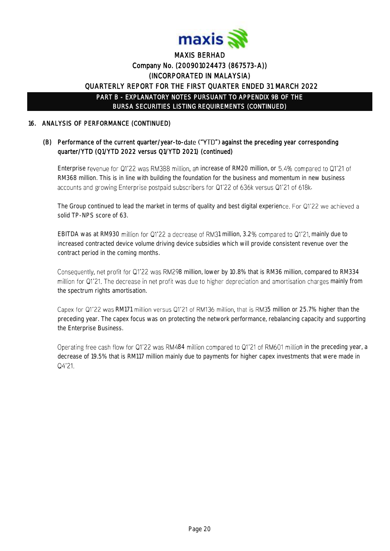

### 16. ANALYSIS OF PERFORMANCE (CONTINUED)

### (B) Performance of the current quarter/year-to-date ("YTD") against the preceding year corresponding quarter/YTD (Q1/YTD 2022 versus Q1/YTD 2021) (continued)

Enterprise revenue for Q1'22 was RM388 million, an increase of RM20 million, or 5.4% compared to Q1'21 of RM368 million. This is in line with building the foundation for the business and momentum in new business accounts and growing Enterprise postpaid subscribers for Q1'22 of 636k versus Q1'21 of 618k.

The Group continued to lead the market in terms of quality and best digital experience. For Q1'22 we achieved a solid TP-NPS score of 63.

EBITDA was at RM930 million for Q1'22 a decrease of RM31 million, 3.2% compared to Q1'21, mainly due to increased contracted device volume driving device subsidies which will provide consistent revenue over the contract period in the coming months.

Consequently, net profit for Q1'22 was RM298 million, lower by 10.8% that is RM36 million, compared to RM334 million for Q1'21. The decrease in net profit was due to higher depreciation and amortisation charges mainly from the spectrum rights amortisation.

Capex for Q1'22 was RM171 million versus Q1'21 of RM136 million, that is RM35 million or 25.7% higher than the preceding year. The capex focus was on protecting the network performance, rebalancing capacity and supporting the Enterprise Business.

Operating free cash flow for Q1'22 was RM484 million compared to Q1'21 of RM601 million in the preceding year, a decrease of 19.5% that is RM117 million mainly due to payments for higher capex investments that were made in Q4'21.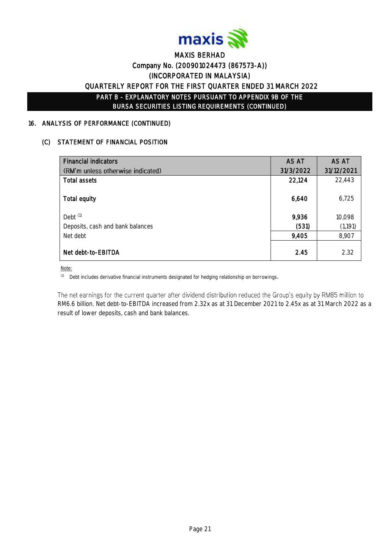

#### 16. ANALYSIS OF PERFORMANCE (CONTINUED)

#### (C) STATEMENT OF FINANCIAL POSITION

| <b>Financial indicators</b>       | AS AT     | AS AT      |
|-----------------------------------|-----------|------------|
| (RM'm unless otherwise indicated) | 31/3/2022 | 31/12/2021 |
| Total assets                      | 22,124    | 22,443     |
| Total equity                      | 6,640     | 6,725      |
| Debt <sup>(1)</sup>               | 9,936     | 10,098     |
| Deposits, cash and bank balances  | (531)     | (1,191)    |
| Net debt                          | 9,405     | 8,907      |
| Net debt-to-EBITDA                | 2.45      | 2.32       |

Note:

(1) Debt includes derivative financial instruments designated for hedging relationship on borrowings.

The net earnings for the current quarter after dividend distribution reduced the Group's equity by RM85 million to RM6.6 billion. Net debt-to-EBITDA increased from 2.32x as at 31 December 2021 to 2.45x as at 31 March 2022 as a result of lower deposits, cash and bank balances.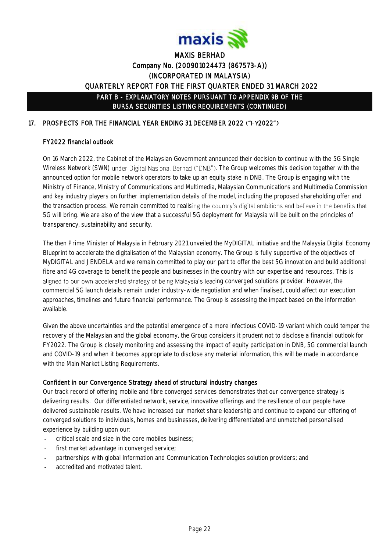

### 17. PROSPECTS FOR THE FINANCIAL YEAR ENDING 31 DECEMBER 2022 ("FY2022")

### FY2022 financial outlook

On 16 March 2022, the Cabinet of the Malaysian Government announced their decision to continue with the 5G Single Wireless Network (SWN) under Digital Nasional Berhad ("DNB"). The Group welcomes this decision together with the announced option for mobile network operators to take up an equity stake in DNB. The Group is engaging with the Ministry of Finance, Ministry of Communications and Multimedia, Malaysian Communications and Multimedia Commission and key industry players on further implementation details of the model, including the proposed shareholding offer and the transaction process. We remain committed to realising the country's digital ambitions and believe in the benefits that 5G will bring. We are also of the view that a successful 5G deployment for Malaysia will be built on the principles of transparency, sustainability and security.

The then Prime Minister of Malaysia in February 2021 unveiled the MyDIGITAL initiative and the Malaysia Digital Economy Blueprint to accelerate the digitalisation of the Malaysian economy. The Group is fully supportive of the objectives of MyDIGITAL and JENDELA and we remain committed to play our part to offer the best 5G innovation and build additional fibre and 4G coverage to benefit the people and businesses in the country with our expertise and resources. This is aligned to our own accelerated strategy of being Malaysia's leading converged solutions provider. However, the commercial 5G launch details remain under industry-wide negotiation and when finalised, could affect our execution approaches, timelines and future financial performance. The Group is assessing the impact based on the information available.

Given the above uncertainties and the potential emergence of a more infectious COVID-19 variant which could temper the recovery of the Malaysian and the global economy, the Group considers it prudent not to disclose a financial outlook for FY2022. The Group is closely monitoring and assessing the impact of equity participation in DNB, 5G commercial launch and COVID-19 and when it becomes appropriate to disclose any material information, this will be made in accordance with the Main Market Listing Requirements.

### Confident in our Convergence Strategy ahead of structural industry changes

Our track record of offering mobile and fibre converged services demonstrates that our convergence strategy is delivering results. Our differentiated network, service, innovative offerings and the resilience of our people have delivered sustainable results. We have increased our market share leadership and continue to expand our offering of converged solutions to individuals, homes and businesses, delivering differentiated and unmatched personalised experience by building upon our:

- critical scale and size in the core mobiles business;
- first market advantage in converged service:
- partnerships with global Information and Communication Technologies solution providers; and
- accredited and motivated talent.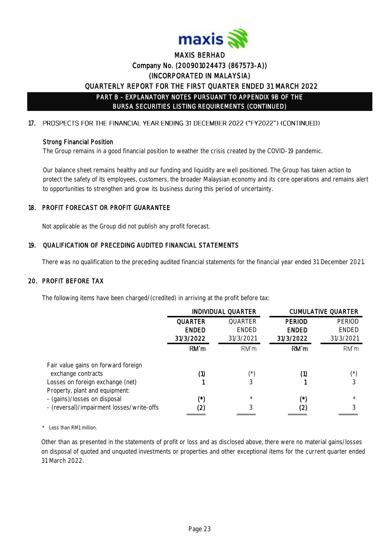

#### 17. PROSPECTS FOR THE FINANCIAL YEAR ENDING 31 DECEMBER 2022 ("FY2022") (CONTINUED)

#### Strong Financial Position

The Group remains in a good financial position to weather the crisis created by the COVID-19 pandemic.

Our balance sheet remains healthy and our funding and liquidity are well positioned. The Group has taken action to protect the safety of its employees, customers, the broader Malaysian economy and its core operations and remains alert to opportunities to strengthen and grow its business during this period of uncertainty.

### 18. PROFIT FORECAST OR PROFIT GUARANTEE

Not applicable as the Group did not publish any profit forecast.

### 19. QUALIFICATION OF PRECEDING AUDITED FINANCIAL STATEMENTS

There was no qualification to the preceding audited financial statements for the financial year ended 31 December 2021.

#### 20. PROFIT BEFORE TAX

The following items have been charged/(credited) in arriving at the profit before tax:

|                                           | <b>INDIVIDUAL QUARTER</b> |              |               | <b>CUMULATIVE QUARTER</b> |
|-------------------------------------------|---------------------------|--------------|---------------|---------------------------|
|                                           | <b>QUARTER</b>            | QUARTER      | <b>PERIOD</b> | PERIOD                    |
|                                           | <b>ENDED</b>              | <b>ENDED</b> | <b>ENDED</b>  | <b>ENDED</b>              |
|                                           | 31/3/2022                 | 31/3/2021    | 31/3/2022     | 31/3/2021                 |
|                                           | RM'm                      | RM'm         | RM'm          | RM'm                      |
| Fair value gains on forward foreign       |                           |              |               |                           |
| exchange contracts                        | (1)                       | (*)          | (1)           | ⁄*`                       |
| Losses on foreign exchange (net)          |                           | 3            |               |                           |
| Property, plant and equipment:            |                           |              |               |                           |
| - (gains)/losses on disposal              | (*)                       | $\star$      | (*`           | $\star$                   |
| - (reversal)/impairment losses/write-offs | (2)                       | 3            | (2)           |                           |
|                                           |                           |              |               |                           |

\* Less than RM1 million.

Other than as presented in the statements of profit or loss and as disclosed above, there were no material gains/losses on disposal of quoted and unquoted investments or properties and other exceptional items for the current quarter ended 31 March 2022.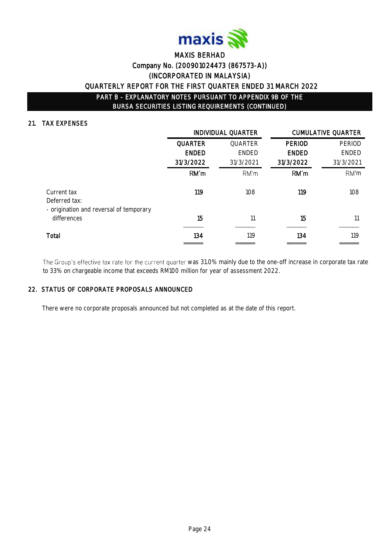

### 21. TAX EXPENSES

|                                                        |                | INDIVIDUAL QUARTER |               | <b>CUMULATIVE QUARTER</b> |
|--------------------------------------------------------|----------------|--------------------|---------------|---------------------------|
|                                                        | <b>QUARTER</b> | QUARTER            | <b>PERIOD</b> | <b>PERIOD</b>             |
|                                                        | <b>ENDED</b>   | <b>ENDED</b>       | <b>ENDED</b>  | <b>ENDED</b>              |
|                                                        | 31/3/2022      | 31/3/2021          | 31/3/2022     | 31/3/2021                 |
|                                                        | RM'm           | RM'm               | RM'm          | RM'm                      |
| Current tax<br>Deferred tax:                           | 119            | 108                | 119           | 108                       |
| - origination and reversal of temporary<br>differences | 15             | 11                 | 15            |                           |
| Total                                                  | 134            | 119                | 134           | 119                       |

The Group's effective tax rate for the current quarter was 31.0% mainly due to the one-off increase in corporate tax rate to 33% on chargeable income that exceeds RM100 million for year of assessment 2022.

#### 22. STATUS OF CORPORATE PROPOSALS ANNOUNCED

There were no corporate proposals announced but not completed as at the date of this report.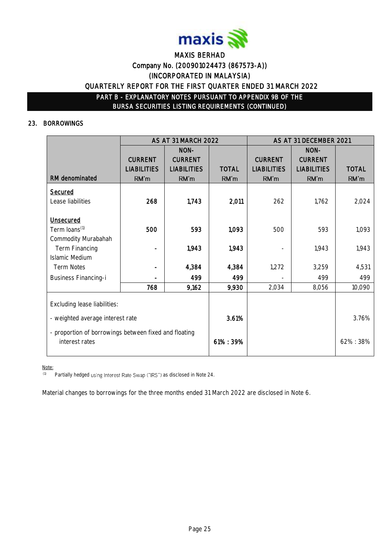

#### 23. BORROWINGS

|                                                       |                    | AS AT 31 MARCH 2022 |              |                    | AS AT 31 DECEMBER 2021 |              |
|-------------------------------------------------------|--------------------|---------------------|--------------|--------------------|------------------------|--------------|
|                                                       |                    | NON-                |              |                    | NON-                   |              |
|                                                       | <b>CURRENT</b>     | <b>CURRENT</b>      |              | <b>CURRENT</b>     | <b>CURRENT</b>         |              |
|                                                       | <b>LIABILITIES</b> | <b>LIABILITIES</b>  | <b>TOTAL</b> | <b>LIABILITIES</b> | <b>LIABILITIES</b>     | <b>TOTAL</b> |
| RM denominated                                        | RM'm               | RM'm                | RM'm         | RM'm               | RM'm                   | RM'm         |
| Secured                                               |                    |                     |              |                    |                        |              |
| Lease liabilities                                     | 268                | 1,743               | 2,011        | 262                | 1,762                  | 2,024        |
|                                                       |                    |                     |              |                    |                        |              |
| <b>Unsecured</b>                                      |                    |                     |              |                    |                        |              |
| Term loans <sup>(1)</sup>                             | 500                | 593                 | 1,093        | 500                | 593                    | 1,093        |
| Commodity Murabahah                                   |                    |                     |              |                    |                        |              |
| Term Financing                                        |                    | 1,943               | 1,943        |                    | 1,943                  | 1,943        |
| <b>Islamic Medium</b>                                 |                    |                     |              |                    |                        |              |
| <b>Term Notes</b>                                     |                    | 4,384               | 4,384        | 1,272              | 3,259                  | 4,531        |
| <b>Business Financing-i</b>                           |                    | 499                 | 499          |                    | 499                    | 499          |
|                                                       | 768                | 9,162               | 9,930        | 2,034              | 8,056                  | 10,090       |
|                                                       |                    |                     |              |                    |                        |              |
| Excluding lease liabilities:                          |                    |                     |              |                    |                        |              |
| - weighted average interest rate                      |                    | 3.61%               |              |                    | 3.76%                  |              |
| - proportion of borrowings between fixed and floating |                    |                     |              |                    |                        |              |
| interest rates                                        |                    |                     | 61%: 39%     |                    |                        | 62%:38%      |
|                                                       |                    |                     |              |                    |                        |              |

Note:

 $(1)$  Partially hedged using Interest Rate Swap ("IRS") as disclosed in Note 24.

Material changes to borrowings for the three months ended 31 March 2022 are disclosed in Note 6.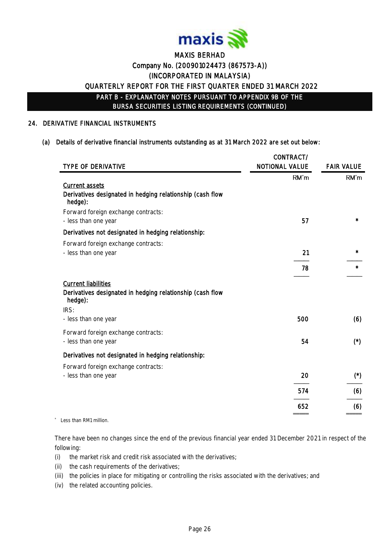

#### 24. DERIVATIVE FINANCIAL INSTRUMENTS

#### (a) Details of derivative financial instruments outstanding as at 31 March 2022 are set out below:

|                                                                                                                                      | CONTRACT/             |                       |
|--------------------------------------------------------------------------------------------------------------------------------------|-----------------------|-----------------------|
| TYPE OF DERIVATIVE                                                                                                                   | <b>NOTIONAL VALUE</b> | <b>FAIR VALUE</b>     |
| <b>Current assets</b><br>Derivatives designated in hedging relationship (cash flow<br>hedge):<br>Forward foreign exchange contracts: | RM'm                  | RM'm                  |
| - less than one year                                                                                                                 | 57                    | $\star$               |
| Derivatives not designated in hedging relationship:                                                                                  |                       |                       |
| Forward foreign exchange contracts:<br>- less than one year                                                                          | 21<br>78              | $\star$<br>$\star$    |
| <b>Current liabilities</b><br>Derivatives designated in hedging relationship (cash flow<br>hedge):                                   |                       |                       |
| IRS:<br>- less than one year                                                                                                         | 500                   | (6)                   |
| Forward foreign exchange contracts:<br>- less than one year                                                                          | 54                    | $(\dot{r})$           |
| Derivatives not designated in hedging relationship:                                                                                  |                       |                       |
| Forward foreign exchange contracts:<br>- less than one year                                                                          | 20                    | $(\dot{\phantom{a}})$ |
|                                                                                                                                      | 574                   | (6)                   |
|                                                                                                                                      | 652                   | (6)                   |

\* Less than RM1 million.

There have been no changes since the end of the previous financial year ended 31 December 2021 in respect of the following:

- (i) the market risk and credit risk associated with the derivatives;
- (ii) the cash requirements of the derivatives;
- (iii) the policies in place for mitigating or controlling the risks associated with the derivatives; and
- (iv) the related accounting policies.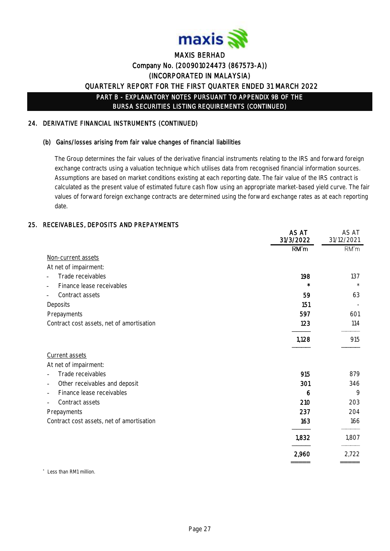

### 24. DERIVATIVE FINANCIAL INSTRUMENTS (CONTINUED)

#### (b) Gains/losses arising from fair value changes of financial liabilities

The Group determines the fair values of the derivative financial instruments relating to the IRS and forward foreign exchange contracts using a valuation technique which utilises data from recognised financial information sources. Assumptions are based on market conditions existing at each reporting date. The fair value of the IRS contract is calculated as the present value of estimated future cash flow using an appropriate market-based yield curve. The fair values of forward foreign exchange contracts are determined using the forward exchange rates as at each reporting date.

### 25. RECEIVABLES, DEPOSITS AND PREPAYMENTS

|                                           | AS AT<br>31/3/2022 | AS AT<br>31/12/2021 |
|-------------------------------------------|--------------------|---------------------|
|                                           | RM'm               | RM'm                |
| Non-current assets                        |                    |                     |
| At net of impairment:                     |                    |                     |
| Trade receivables                         | 198                | 137                 |
| Finance lease receivables                 | $\star$            | $\star$             |
| Contract assets                           | 59                 | 63                  |
| Deposits                                  | 151                |                     |
| Prepayments                               | 597                | 601                 |
| Contract cost assets, net of amortisation | 123                | 114                 |
|                                           | 1,128              | 915                 |
| Current assets                            |                    |                     |
| At net of impairment:                     |                    |                     |
| Trade receivables                         | 915                | 879                 |
| Other receivables and deposit<br>-        | 301                | 346                 |
| Finance lease receivables<br>-            | 6                  | 9                   |
| Contract assets<br>L,                     | 210                | 203                 |
| Prepayments                               | 237                | 204                 |
| Contract cost assets, net of amortisation | 163                | 166                 |
|                                           | 1,832              | 1,807               |
|                                           | 2,960              | 2,722               |
|                                           |                    |                     |

\* Less than RM1 million.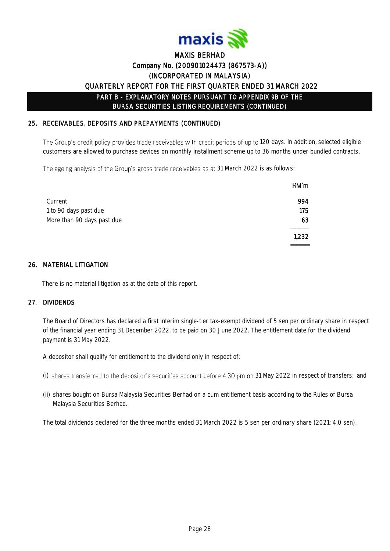

### 25. RECEIVABLES, DEPOSITS AND PREPAYMENTS (CONTINUED)

The Group's credit policy provides trade receivables with credit periods of up to 120 days. In addition, selected eligible customers are allowed to purchase devices on monthly installment scheme up to 36 months under bundled contracts.

The ageing analysis of the Group's gross trade receivables as at 31 March 2022 is as follows:

| RM'm  |
|-------|
| 994   |
| 175   |
| 63    |
| 1,232 |
|       |

### 26. MATERIAL LITIGATION

There is no material litigation as at the date of this report.

### 27. DIVIDENDS

The Board of Directors has declared a first interim single-tier tax-exempt dividend of 5 sen per ordinary share in respect of the financial year ending 31 December 2022, to be paid on 30 June 2022. The entitlement date for the dividend payment is 31 May 2022.

A depositor shall qualify for entitlement to the dividend only in respect of:

- (i) shares transferred to the depositor's securities account before 4.30 pm on 31 May 2022 in respect of transfers; and
- (ii) shares bought on Bursa Malaysia Securities Berhad on a cum entitlement basis according to the Rules of Bursa Malaysia Securities Berhad.

The total dividends declared for the three months ended 31 March 2022 is 5 sen per ordinary share (2021: 4.0 sen).